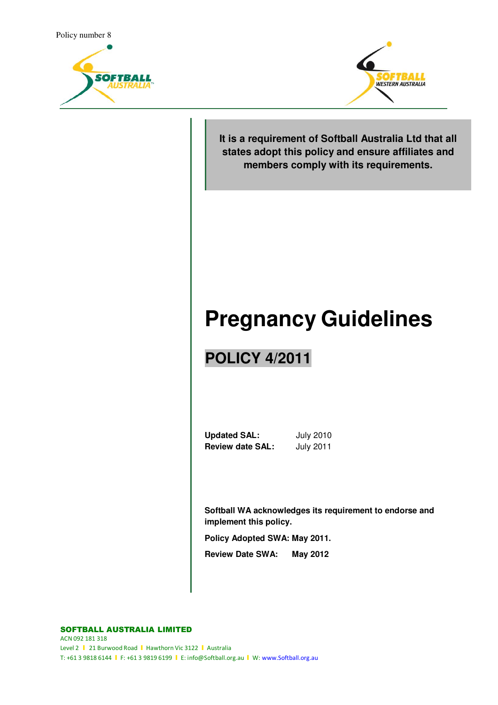



**It is a requirement of Softball Australia Ltd that all states adopt this policy and ensure affiliates and members comply with its requirements.**

# **Pregnancy Guidelines**

## **POLICY 4/2011**

**Updated SAL:** July 2010 **Review date SAL:** July 2011

**Softball WA acknowledges its requirement to endorse and implement this policy.**

**Policy Adopted SWA: May 2011.** 

**Review Date SWA: May 2012**

SOFTBALL AUSTRALIA LIMITED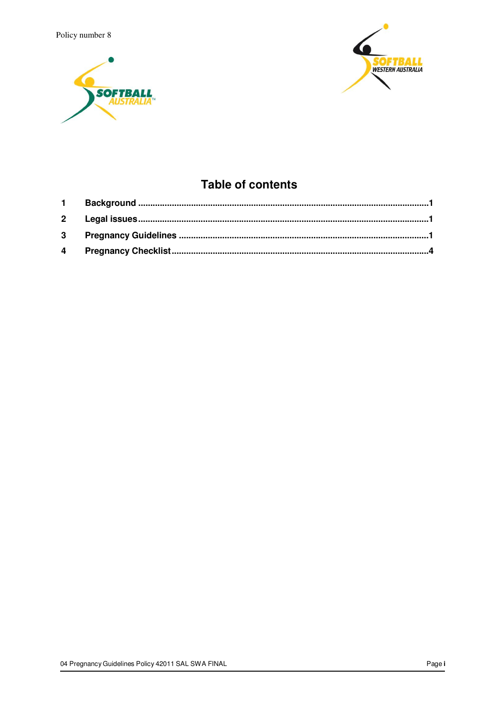Policy number 8





### **Table of contents**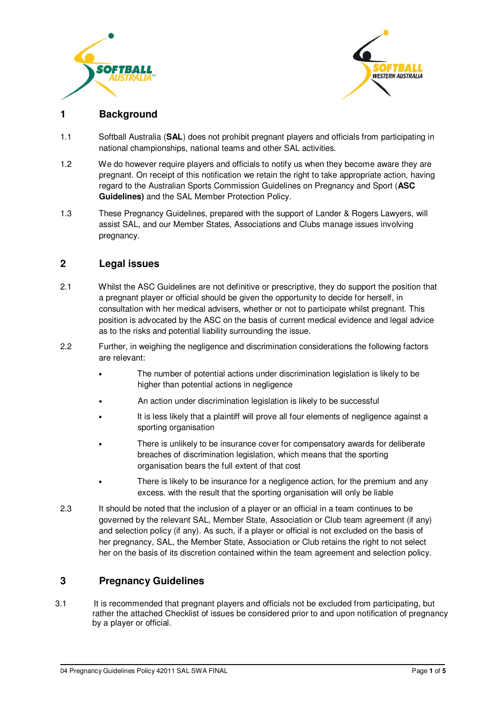



#### **1 Background**

- 1.1 Softball Australia (**SAL**) does not prohibit pregnant players and officials from participating in national championships, national teams and other SAL activities.
- 1.2 We do however require players and officials to notify us when they become aware they are pregnant. On receipt of this notification we retain the right to take appropriate action, having regard to the Australian Sports Commission Guidelines on Pregnancy and Sport (**ASC Guidelines)** and the SAL Member Protection Policy.
- 1.3 These Pregnancy Guidelines, prepared with the support of Lander & Rogers Lawyers, will assist SAL, and our Member States, Associations and Clubs manage issues involving pregnancy.

#### **2 Legal issues**

- 2.1 Whilst the ASC Guidelines are not definitive or prescriptive, they do support the position that a pregnant player or official should be given the opportunity to decide for herself, in consultation with her medical advisers, whether or not to participate whilst pregnant. This position is advocated by the ASC on the basis of current medical evidence and legal advice as to the risks and potential liability surrounding the issue.
- 2.2 Further, in weighing the negligence and discrimination considerations the following factors are relevant:
	- The number of potential actions under discrimination legislation is likely to be higher than potential actions in negligence
	- An action under discrimination legislation is likely to be successful
	- It is less likely that a plaintiff will prove all four elements of negligence against a sporting organisation
	- There is unlikely to be insurance cover for compensatory awards for deliberate breaches of discrimination legislation, which means that the sporting organisation bears the full extent of that cost
	- There is likely to be insurance for a negligence action, for the premium and any excess. with the result that the sporting organisation will only be liable
- 2.3 It should be noted that the inclusion of a player or an official in a team continues to be governed by the relevant SAL, Member State, Association or Club team agreement (if any) and selection policy (if any). As such, if a player or official is not excluded on the basis of her pregnancy, SAL, the Member State, Association or Club retains the right to not select her on the basis of its discretion contained within the team agreement and selection policy.

#### **3 Pregnancy Guidelines**

3.1 It is recommended that pregnant players and officials not be excluded from participating, but rather the attached Checklist of issues be considered prior to and upon notification of pregnancy by a player or official.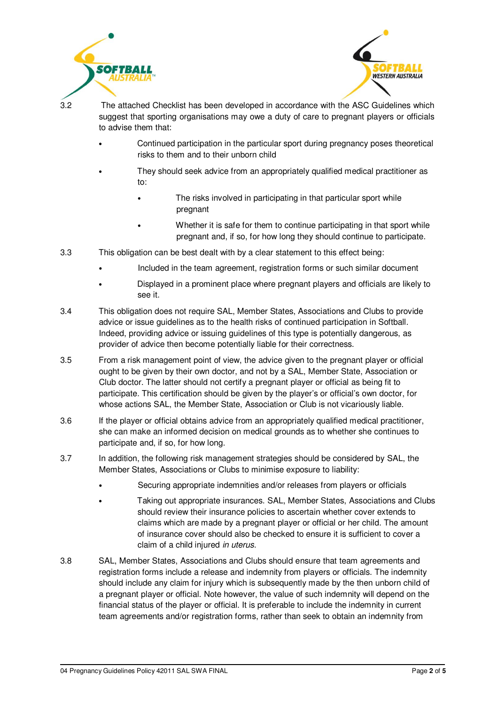



3.2 The attached Checklist has been developed in accordance with the ASC Guidelines which suggest that sporting organisations may owe a duty of care to pregnant players or officials to advise them that:

- Continued participation in the particular sport during pregnancy poses theoretical risks to them and to their unborn child
	- They should seek advice from an appropriately qualified medical practitioner as to:
		- The risks involved in participating in that particular sport while pregnant
		- Whether it is safe for them to continue participating in that sport while pregnant and, if so, for how long they should continue to participate.
- 3.3 This obligation can be best dealt with by a clear statement to this effect being:
	- Included in the team agreement, registration forms or such similar document
	- Displayed in a prominent place where pregnant players and officials are likely to see it.
- 3.4 This obligation does not require SAL, Member States, Associations and Clubs to provide advice or issue guidelines as to the health risks of continued participation in Softball. Indeed, providing advice or issuing guidelines of this type is potentially dangerous, as provider of advice then become potentially liable for their correctness.
- 3.5 From a risk management point of view, the advice given to the pregnant player or official ought to be given by their own doctor, and not by a SAL, Member State, Association or Club doctor. The latter should not certify a pregnant player or official as being fit to participate. This certification should be given by the player's or official's own doctor, for whose actions SAL, the Member State, Association or Club is not vicariously liable.
- 3.6 If the player or official obtains advice from an appropriately qualified medical practitioner, she can make an informed decision on medical grounds as to whether she continues to participate and, if so, for how long.
- 3.7 In addition, the following risk management strategies should be considered by SAL, the Member States, Associations or Clubs to minimise exposure to liability:
	- Securing appropriate indemnities and/or releases from players or officials
	- Taking out appropriate insurances. SAL, Member States, Associations and Clubs should review their insurance policies to ascertain whether cover extends to claims which are made by a pregnant player or official or her child. The amount of insurance cover should also be checked to ensure it is sufficient to cover a claim of a child injured in uterus.
- 3.8 SAL, Member States, Associations and Clubs should ensure that team agreements and registration forms include a release and indemnity from players or officials. The indemnity should include any claim for injury which is subsequently made by the then unborn child of a pregnant player or official. Note however, the value of such indemnity will depend on the financial status of the player or official. It is preferable to include the indemnity in current team agreements and/or registration forms, rather than seek to obtain an indemnity from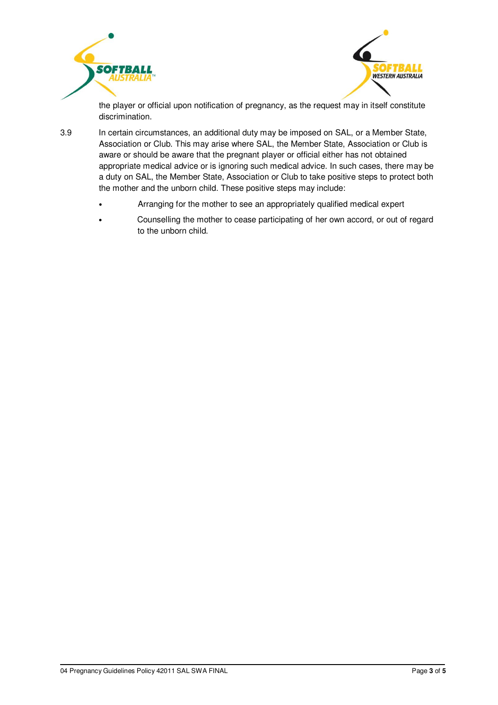



the player or official upon notification of pregnancy, as the request may in itself constitute discrimination.

3.9 In certain circumstances, an additional duty may be imposed on SAL, or a Member State, Association or Club. This may arise where SAL, the Member State, Association or Club is aware or should be aware that the pregnant player or official either has not obtained appropriate medical advice or is ignoring such medical advice. In such cases, there may be a duty on SAL, the Member State, Association or Club to take positive steps to protect both the mother and the unborn child. These positive steps may include:

- Arranging for the mother to see an appropriately qualified medical expert
- Counselling the mother to cease participating of her own accord, or out of regard to the unborn child.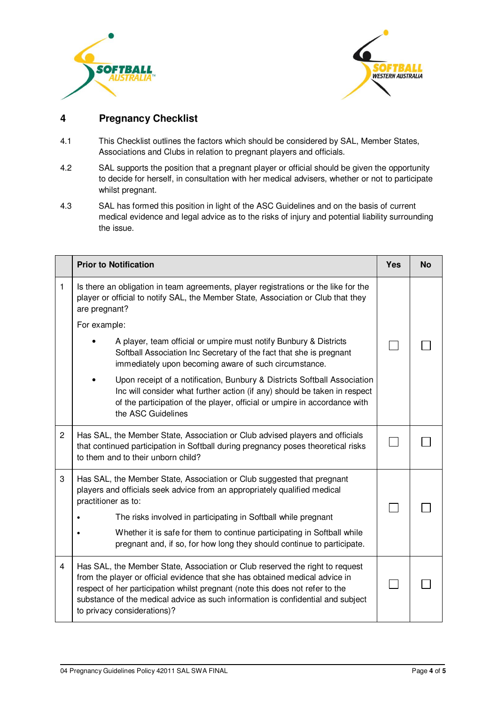



#### **4 Pregnancy Checklist**

- 4.1 This Checklist outlines the factors which should be considered by SAL, Member States, Associations and Clubs in relation to pregnant players and officials.
- 4.2 SAL supports the position that a pregnant player or official should be given the opportunity to decide for herself, in consultation with her medical advisers, whether or not to participate whilst pregnant.
- 4.3 SAL has formed this position in light of the ASC Guidelines and on the basis of current medical evidence and legal advice as to the risks of injury and potential liability surrounding the issue.

|              | <b>Prior to Notification</b>                                                                                                                                                                                                                                                                                                                                                                      | Yes | <b>No</b> |
|--------------|---------------------------------------------------------------------------------------------------------------------------------------------------------------------------------------------------------------------------------------------------------------------------------------------------------------------------------------------------------------------------------------------------|-----|-----------|
| 1            | Is there an obligation in team agreements, player registrations or the like for the<br>player or official to notify SAL, the Member State, Association or Club that they<br>are pregnant?                                                                                                                                                                                                         |     |           |
|              | For example:                                                                                                                                                                                                                                                                                                                                                                                      |     |           |
|              | A player, team official or umpire must notify Bunbury & Districts<br>Softball Association Inc Secretary of the fact that she is pregnant<br>immediately upon becoming aware of such circumstance.                                                                                                                                                                                                 |     |           |
|              | Upon receipt of a notification, Bunbury & Districts Softball Association<br>Inc will consider what further action (if any) should be taken in respect<br>of the participation of the player, official or umpire in accordance with<br>the ASC Guidelines                                                                                                                                          |     |           |
| $\mathbf{2}$ | Has SAL, the Member State, Association or Club advised players and officials<br>that continued participation in Softball during pregnancy poses theoretical risks<br>to them and to their unborn child?                                                                                                                                                                                           |     |           |
| 3            | Has SAL, the Member State, Association or Club suggested that pregnant<br>players and officials seek advice from an appropriately qualified medical<br>practitioner as to:<br>The risks involved in participating in Softball while pregnant<br>Whether it is safe for them to continue participating in Softball while<br>pregnant and, if so, for how long they should continue to participate. |     |           |
| 4            | Has SAL, the Member State, Association or Club reserved the right to request<br>from the player or official evidence that she has obtained medical advice in<br>respect of her participation whilst pregnant (note this does not refer to the<br>substance of the medical advice as such information is confidential and subject<br>to privacy considerations)?                                   |     |           |